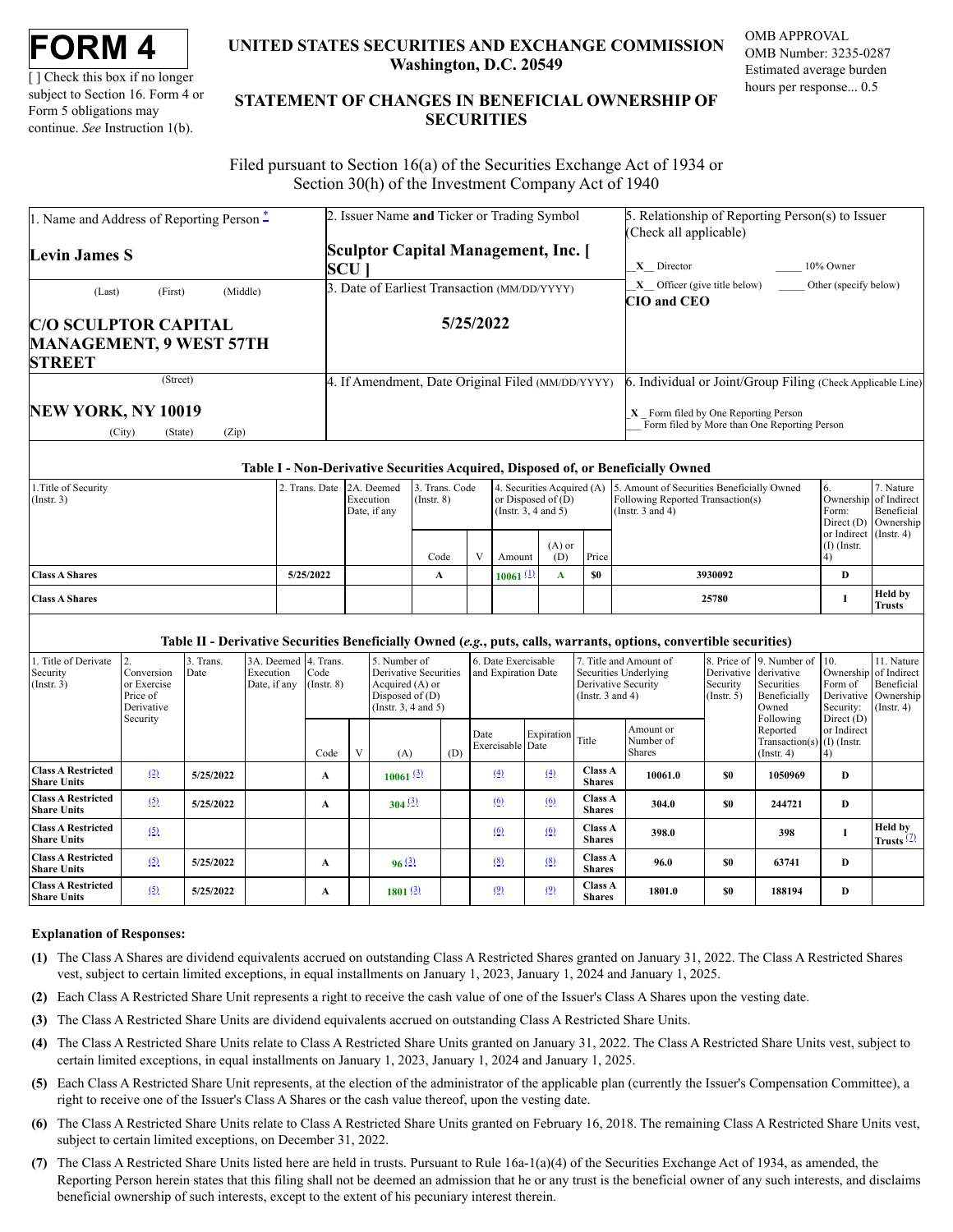[ ] Check this box if no longer subject to Section 16. Form 4 or Form 5 obligations may continue. *See* Instruction 1(b).

# **UNITED STATES SECURITIES AND EXCHANGE COMMISSION Washington, D.C. 20549**

OMB APPROVAL OMB Number: 3235-0287 Estimated average burden hours per response... 0.5

# **STATEMENT OF CHANGES IN BENEFICIAL OWNERSHIP OF SECURITIES**

Filed pursuant to Section 16(a) of the Securities Exchange Act of 1934 or Section 30(h) of the Investment Company Act of 1940

| 1. Name and Address of Reporting Person $\ddot{\text{-}}$ | 2. Issuer Name and Ticker or Trading Symbol       | 5. Relationship of Reporting Person(s) to Issuer                                       |  |  |  |  |  |
|-----------------------------------------------------------|---------------------------------------------------|----------------------------------------------------------------------------------------|--|--|--|--|--|
|                                                           |                                                   | (Check all applicable)                                                                 |  |  |  |  |  |
| Levin James S                                             | Sculptor Capital Management, Inc. [               |                                                                                        |  |  |  |  |  |
|                                                           | SCU                                               | 10% Owner<br>$X$ Director                                                              |  |  |  |  |  |
| (Middle)<br>(First)<br>(Last)                             | 3. Date of Earliest Transaction (MM/DD/YYYY)      | $X$ Officer (give title below) Other (specify below)                                   |  |  |  |  |  |
|                                                           |                                                   | <b>CIO</b> and <b>CEO</b>                                                              |  |  |  |  |  |
| <b>C/O SCULPTOR CAPITAL</b>                               | 5/25/2022                                         |                                                                                        |  |  |  |  |  |
| <b>MANAGEMENT, 9 WEST 57TH</b>                            |                                                   |                                                                                        |  |  |  |  |  |
| <b>STREET</b>                                             |                                                   |                                                                                        |  |  |  |  |  |
| (Street)                                                  | 4. If Amendment, Date Original Filed (MM/DD/YYYY) | 6. Individual or Joint/Group Filing (Check Applicable Line)                            |  |  |  |  |  |
| NEW YORK, NY 10019<br>(Zip)<br>(City)<br>(State)          |                                                   | $X$ Form filed by One Reporting Person<br>Form filed by More than One Reporting Person |  |  |  |  |  |

## **Table I - Non-Derivative Securities Acquired, Disposed of, or Beneficially Owned**

| 1. Title of Security<br>$($ Instr. 3) | 2. Trans. Date 2A. Deemed | Execution<br>Date, if any | 3. Trans. Code<br>$($ Instr. $8)$ |  | or Disposed of (D)<br>(Instr. 3, 4 and 5) |                 |           | 4. Securities Acquired (A) 5. Amount of Securities Beneficially Owned<br>Following Reported Transaction(s)<br>(Instr. $3$ and $4$ ) | $\mathbf{O}$ .<br>Ownership of Indirect<br>Form:<br>Direct $(D)$ Ownership | 7. Nature<br>Beneficial         |
|---------------------------------------|---------------------------|---------------------------|-----------------------------------|--|-------------------------------------------|-----------------|-----------|-------------------------------------------------------------------------------------------------------------------------------------|----------------------------------------------------------------------------|---------------------------------|
|                                       |                           |                           | Code                              |  | Amount                                    | $(A)$ or<br>(D) | Price     |                                                                                                                                     | or Indirect (Instr. 4)<br>$(I)$ (Instr.                                    |                                 |
| <b>Class A Shares</b>                 | 5/25/2022                 |                           | A                                 |  | $10061$ (1)                               | A               | <b>SO</b> | 3930092                                                                                                                             | D                                                                          |                                 |
| <b>Class A Shares</b>                 |                           |                           |                                   |  |                                           |                 |           | 25780                                                                                                                               |                                                                            | <b>Held by</b><br><b>Trusts</b> |

### **Table II - Derivative Securities Beneficially Owned (***e.g.***, puts, calls, warrants, options, convertible securities)**

| 1. Title of Derivate<br>Security<br>$($ Instr. 3 $)$ | Conversion<br>or Exercise<br>Price of<br>Derivative | 3. Trans.<br>Date | 3A. Deemed 4. Trans.<br>Execution<br>Date, if any | Code<br>$($ Instr. $8)$ | 5. Number of<br>6. Date Exercisable<br>and Expiration Date<br>Derivative Securities<br>Acquired (A) or<br>Disposed of (D)<br>(Instr. 3, 4 and 5) |     | 7. Title and Amount of<br>Securities Underlying<br>Derivative Security<br>(Instr. $3$ and $4$ ) |                  |                                 | Derivative derivative<br>Security<br>$($ Instr. 5 $)$ | 8. Price of 9. Number of<br>Securities<br>Beneficially<br>Owned | 110.<br>Ownership of Indirect<br>Form of<br>Security:                     | 11. Nature<br>Beneficial<br>Derivative Ownership<br>$($ Instr. 4 $)$ |                                        |
|------------------------------------------------------|-----------------------------------------------------|-------------------|---------------------------------------------------|-------------------------|--------------------------------------------------------------------------------------------------------------------------------------------------|-----|-------------------------------------------------------------------------------------------------|------------------|---------------------------------|-------------------------------------------------------|-----------------------------------------------------------------|---------------------------------------------------------------------------|----------------------------------------------------------------------|----------------------------------------|
|                                                      | Security                                            |                   |                                                   | Code                    | (A)                                                                                                                                              | (D) | Date<br>Exercisable Date                                                                        | Expiration Title |                                 | Amount or<br>Number of<br><b>Shares</b>               |                                                                 | Following<br>Reported<br>Transaction(s) $(I)$ (Instr.<br>$($ Instr. 4 $)$ | Direct $(D)$<br>or Indirect                                          |                                        |
| <b>Class A Restricted</b><br><b>Share Units</b>      | (2)                                                 | 5/25/2022         |                                                   | A                       | $10061$ $(3)$                                                                                                                                    |     | (4)                                                                                             | (4)              | <b>Class A</b><br><b>Shares</b> | 10061.0                                               | \$0                                                             | 1050969                                                                   | D                                                                    |                                        |
| <b>Class A Restricted</b><br><b>Share Units</b>      | (5)                                                 | 5/25/2022         |                                                   | A                       | 304(3)                                                                                                                                           |     | (6)                                                                                             | (6)              | <b>Class A</b><br><b>Shares</b> | 304.0                                                 | \$0                                                             | 244721                                                                    | D                                                                    |                                        |
| <b>Class A Restricted</b><br><b>Share Units</b>      | (5)                                                 |                   |                                                   |                         |                                                                                                                                                  |     | (6)                                                                                             | (6)              | <b>Class A</b><br><b>Shares</b> | 398.0                                                 |                                                                 | 398                                                                       |                                                                      | <b>Held by</b><br>Trusts $\frac{7}{2}$ |
| <b>Class A Restricted</b><br><b>Share Units</b>      | (5)                                                 | 5/25/2022         |                                                   | A                       | 96(3)                                                                                                                                            |     | (8)                                                                                             | (8)              | <b>Class A</b><br><b>Shares</b> | 96.0                                                  | \$0                                                             | 63741                                                                     | D                                                                    |                                        |
| <b>Class A Restricted</b><br><b>Share Units</b>      | (5)                                                 | 5/25/2022         |                                                   | A                       | $1801$ $(3)$                                                                                                                                     |     | (9)                                                                                             | (9)              | <b>Class A</b><br><b>Shares</b> | 1801.0                                                | \$0                                                             | 188194                                                                    | D                                                                    |                                        |

### **Explanation of Responses:**

- <span id="page-0-0"></span>**(1)** The Class A Shares are dividend equivalents accrued on outstanding Class A Restricted Shares granted on January 31, 2022. The Class A Restricted Shares vest, subject to certain limited exceptions, in equal installments on January 1, 2023, January 1, 2024 and January 1, 2025.
- <span id="page-0-1"></span>**(2)** Each Class A Restricted Share Unit represents a right to receive the cash value of one of the Issuer's Class A Shares upon the vesting date.
- <span id="page-0-2"></span>**(3)** The Class A Restricted Share Units are dividend equivalents accrued on outstanding Class A Restricted Share Units.
- <span id="page-0-3"></span>**(4)** The Class A Restricted Share Units relate to Class A Restricted Share Units granted on January 31, 2022. The Class A Restricted Share Units vest, subject to certain limited exceptions, in equal installments on January 1, 2023, January 1, 2024 and January 1, 2025.
- <span id="page-0-4"></span>**(5)** Each Class A Restricted Share Unit represents, at the election of the administrator of the applicable plan (currently the Issuer's Compensation Committee), a right to receive one of the Issuer's Class A Shares or the cash value thereof, upon the vesting date.
- <span id="page-0-5"></span>**(6)** The Class A Restricted Share Units relate to Class A Restricted Share Units granted on February 16, 2018. The remaining Class A Restricted Share Units vest, subject to certain limited exceptions, on December 31, 2022.
- <span id="page-0-6"></span>**(7)** The Class A Restricted Share Units listed here are held in trusts. Pursuant to Rule 16a-1(a)(4) of the Securities Exchange Act of 1934, as amended, the Reporting Person herein states that this filing shall not be deemed an admission that he or any trust is the beneficial owner of any such interests, and disclaims beneficial ownership of such interests, except to the extent of his pecuniary interest therein.